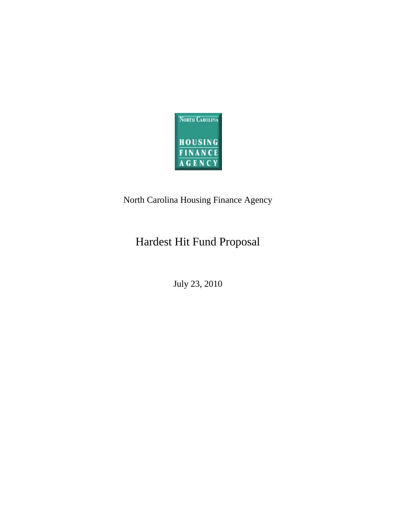

# North Carolina Housing Finance Agency

# Hardest Hit Fund Proposal

July 23, 2010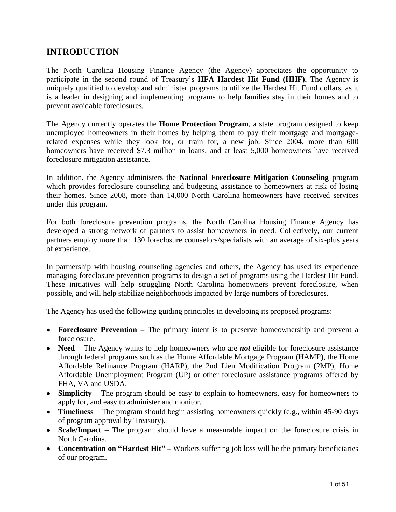## **INTRODUCTION**

The North Carolina Housing Finance Agency (the Agency) appreciates the opportunity to participate in the second round of Treasury's **HFA Hardest Hit Fund (HHF).** The Agency is uniquely qualified to develop and administer programs to utilize the Hardest Hit Fund dollars, as it is a leader in designing and implementing programs to help families stay in their homes and to prevent avoidable foreclosures.

The Agency currently operates the **Home Protection Program**, a state program designed to keep unemployed homeowners in their homes by helping them to pay their mortgage and mortgagerelated expenses while they look for, or train for, a new job. Since 2004, more than 600 homeowners have received \$7.3 million in loans, and at least 5,000 homeowners have received foreclosure mitigation assistance.

In addition, the Agency administers the **National Foreclosure Mitigation Counseling** program which provides foreclosure counseling and budgeting assistance to homeowners at risk of losing their homes. Since 2008, more than 14,000 North Carolina homeowners have received services under this program.

For both foreclosure prevention programs, the North Carolina Housing Finance Agency has developed a strong network of partners to assist homeowners in need. Collectively, our current partners employ more than 130 foreclosure counselors/specialists with an average of six-plus years of experience.

In partnership with housing counseling agencies and others, the Agency has used its experience managing foreclosure prevention programs to design a set of programs using the Hardest Hit Fund. These initiatives will help struggling North Carolina homeowners prevent foreclosure, when possible, and will help stabilize neighborhoods impacted by large numbers of foreclosures.

The Agency has used the following guiding principles in developing its proposed programs:

- **Foreclosure Prevention –** The primary intent is to preserve homeownership and prevent a foreclosure.
- **Need**  The Agency wants to help homeowners who are *not* eligible for foreclosure assistance through federal programs such as the Home Affordable Mortgage Program (HAMP), the Home Affordable Refinance Program (HARP), the 2nd Lien Modification Program (2MP), Home Affordable Unemployment Program (UP) or other foreclosure assistance programs offered by FHA, VA and USDA.
- **Simplicity** The program should be easy to explain to homeowners, easy for homeowners to apply for, and easy to administer and monitor.
- **Timeliness** The program should begin assisting homeowners quickly (e.g., within 45-90 days of program approval by Treasury).
- Scale/Impact The program should have a measurable impact on the foreclosure crisis in North Carolina.
- **Concentration on "Hardest Hit"** Workers suffering job loss will be the primary beneficiaries of our program.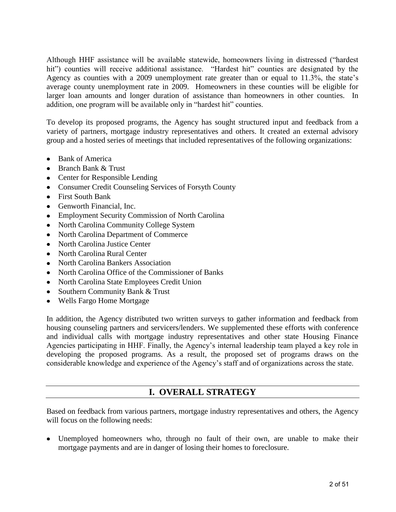Although HHF assistance will be available statewide, homeowners living in distressed ("hardest hit") counties will receive additional assistance. "Hardest hit" counties are designated by the Agency as counties with a 2009 unemployment rate greater than or equal to 11.3%, the state's average county unemployment rate in 2009. Homeowners in these counties will be eligible for larger loan amounts and longer duration of assistance than homeowners in other counties. In addition, one program will be available only in "hardest hit" counties.

To develop its proposed programs, the Agency has sought structured input and feedback from a variety of partners, mortgage industry representatives and others. It created an external advisory group and a hosted series of meetings that included representatives of the following organizations:

- Bank of America
- Branch Bank & Trust
- Center for Responsible Lending
- Consumer Credit Counseling Services of Forsyth County
- First South Bank
- Genworth Financial, Inc.
- Employment Security Commission of North Carolina
- North Carolina Community College System
- North Carolina Department of Commerce
- North Carolina Justice Center
- North Carolina Rural Center
- North Carolina Bankers Association
- North Carolina Office of the Commissioner of Banks
- North Carolina State Employees Credit Union
- Southern Community Bank & Trust
- Wells Fargo Home Mortgage

In addition, the Agency distributed two written surveys to gather information and feedback from housing counseling partners and servicers/lenders. We supplemented these efforts with conference and individual calls with mortgage industry representatives and other state Housing Finance Agencies participating in HHF. Finally, the Agency's internal leadership team played a key role in developing the proposed programs. As a result, the proposed set of programs draws on the considerable knowledge and experience of the Agency's staff and of organizations across the state.

### **I. OVERALL STRATEGY**

Based on feedback from various partners, mortgage industry representatives and others, the Agency will focus on the following needs:

Unemployed homeowners who, through no fault of their own, are unable to make their mortgage payments and are in danger of losing their homes to foreclosure.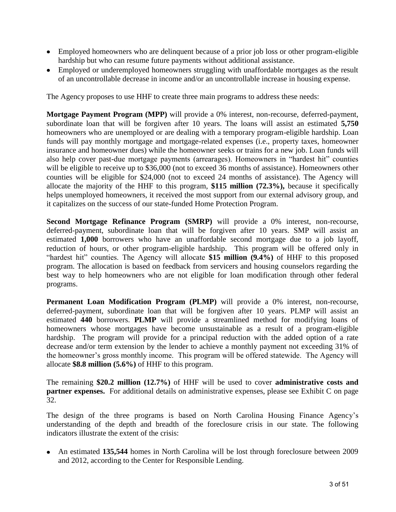- Employed homeowners who are delinquent because of a prior job loss or other program-eligible hardship but who can resume future payments without additional assistance.
- Employed or underemployed homeowners struggling with unaffordable mortgages as the result of an uncontrollable decrease in income and/or an uncontrollable increase in housing expense.

The Agency proposes to use HHF to create three main programs to address these needs:

**Mortgage Payment Program (MPP)** will provide a 0% interest, non-recourse, deferred-payment, subordinate loan that will be forgiven after 10 years. The loans will assist an estimated **5,750** homeowners who are unemployed or are dealing with a temporary program-eligible hardship. Loan funds will pay monthly mortgage and mortgage-related expenses (i.e., property taxes, homeowner insurance and homeowner dues) while the homeowner seeks or trains for a new job. Loan funds will also help cover past-due mortgage payments (arrearages). Homeowners in "hardest hit" counties will be eligible to receive up to \$36,000 (not to exceed 36 months of assistance). Homeowners other counties will be eligible for \$24,000 (not to exceed 24 months of assistance). The Agency will allocate the majority of the HHF to this program, **\$115 million (72.3%),** because it specifically helps unemployed homeowners, it received the most support from our external advisory group, and it capitalizes on the success of our state-funded Home Protection Program.

**Second Mortgage Refinance Program (SMRP)** will provide a 0% interest, non-recourse, deferred-payment, subordinate loan that will be forgiven after 10 years. SMP will assist an estimated **1,000** borrowers who have an unaffordable second mortgage due to a job layoff, reduction of hours, or other program-eligible hardship. This program will be offered only in ―hardest hit‖ counties. The Agency will allocate **\$15 million (9.4%)** of HHF to this proposed program. The allocation is based on feedback from servicers and housing counselors regarding the best way to help homeowners who are not eligible for loan modification through other federal programs.

**Permanent Loan Modification Program (PLMP)** will provide a 0% interest, non-recourse, deferred-payment, subordinate loan that will be forgiven after 10 years. PLMP will assist an estimated **440** borrowers. **PLMP** will provide a streamlined method for modifying loans of homeowners whose mortgages have become unsustainable as a result of a program-eligible hardship. The program will provide for a principal reduction with the added option of a rate decrease and/or term extension by the lender to achieve a monthly payment not exceeding 31% of the homeowner's gross monthly income. This program will be offered statewide. The Agency will allocate **\$8.8 million (5.6%)** of HHF to this program.

The remaining **\$20.2 million (12.7%)** of HHF will be used to cover **administrative costs and partner expenses.** For additional details on administrative expenses, please see Exhibit C on page 32.

The design of the three programs is based on North Carolina Housing Finance Agency's understanding of the depth and breadth of the foreclosure crisis in our state. The following indicators illustrate the extent of the crisis:

An estimated **135,544** homes in North Carolina will be lost through foreclosure between 2009 and 2012, according to the Center for Responsible Lending.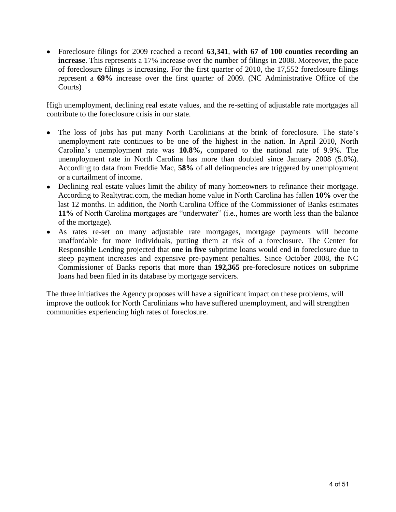Foreclosure filings for 2009 reached a record **63,341**, **with 67 of 100 counties recording an increase**. This represents a 17% increase over the number of filings in 2008. Moreover, the pace of foreclosure filings is increasing. For the first quarter of 2010, the 17,552 foreclosure filings represent a **69%** increase over the first quarter of 2009. (NC Administrative Office of the Courts)

High unemployment, declining real estate values, and the re-setting of adjustable rate mortgages all contribute to the foreclosure crisis in our state.

- The loss of jobs has put many North Carolinians at the brink of foreclosure. The state's unemployment rate continues to be one of the highest in the nation. In April 2010, North Carolina's unemployment rate was **10.8%,** compared to the national rate of 9.9%. The unemployment rate in North Carolina has more than doubled since January 2008 (5.0%). According to data from Freddie Mac, **58%** of all delinquencies are triggered by unemployment or a curtailment of income.
- Declining real estate values limit the ability of many homeowners to refinance their mortgage. According to Realtytrac.com, the median home value in North Carolina has fallen **10%** over the last 12 months. In addition, the North Carolina Office of the Commissioner of Banks estimates **11%** of North Carolina mortgages are "underwater" (i.e., homes are worth less than the balance of the mortgage).
- As rates re-set on many adjustable rate mortgages, mortgage payments will become unaffordable for more individuals, putting them at risk of a foreclosure. The Center for Responsible Lending projected that **one in five** subprime loans would end in foreclosure due to steep payment increases and expensive pre-payment penalties. Since October 2008, the NC Commissioner of Banks reports that more than **192,365** pre-foreclosure notices on subprime loans had been filed in its database by mortgage servicers.

The three initiatives the Agency proposes will have a significant impact on these problems, will improve the outlook for North Carolinians who have suffered unemployment, and will strengthen communities experiencing high rates of foreclosure.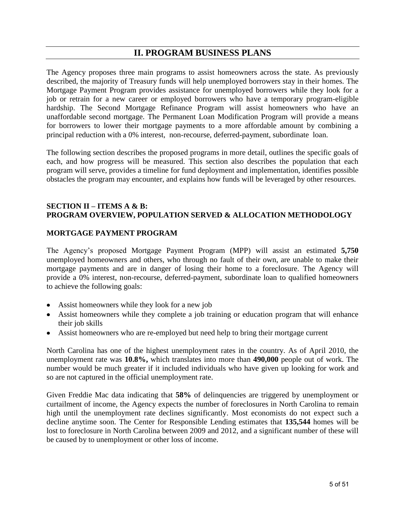# **II. PROGRAM BUSINESS PLANS**

The Agency proposes three main programs to assist homeowners across the state. As previously described, the majority of Treasury funds will help unemployed borrowers stay in their homes. The Mortgage Payment Program provides assistance for unemployed borrowers while they look for a job or retrain for a new career or employed borrowers who have a temporary program-eligible hardship. The Second Mortgage Refinance Program will assist homeowners who have an unaffordable second mortgage. The Permanent Loan Modification Program will provide a means for borrowers to lower their mortgage payments to a more affordable amount by combining a principal reduction with a 0% interest, non-recourse, deferred-payment, subordinate loan.

The following section describes the proposed programs in more detail, outlines the specific goals of each, and how progress will be measured. This section also describes the population that each program will serve, provides a timeline for fund deployment and implementation, identifies possible obstacles the program may encounter, and explains how funds will be leveraged by other resources.

#### **SECTION II – ITEMS A & B: PROGRAM OVERVIEW, POPULATION SERVED & ALLOCATION METHODOLOGY**

#### **MORTGAGE PAYMENT PROGRAM**

The Agency's proposed Mortgage Payment Program (MPP) will assist an estimated **5,750** unemployed homeowners and others, who through no fault of their own, are unable to make their mortgage payments and are in danger of losing their home to a foreclosure. The Agency will provide a 0% interest, non-recourse, deferred-payment, subordinate loan to qualified homeowners to achieve the following goals:

- Assist homeowners while they look for a new job
- Assist homeowners while they complete a job training or education program that will enhance their job skills
- Assist homeowners who are re-employed but need help to bring their mortgage current

North Carolina has one of the highest unemployment rates in the country. As of April 2010, the unemployment rate was **10.8%,** which translates into more than **490,000** people out of work. The number would be much greater if it included individuals who have given up looking for work and so are not captured in the official unemployment rate.

Given Freddie Mac data indicating that **58%** of delinquencies are triggered by unemployment or curtailment of income, the Agency expects the number of foreclosures in North Carolina to remain high until the unemployment rate declines significantly. Most economists do not expect such a decline anytime soon. The Center for Responsible Lending estimates that **135,544** homes will be lost to foreclosure in North Carolina between 2009 and 2012, and a significant number of these will be caused by to unemployment or other loss of income.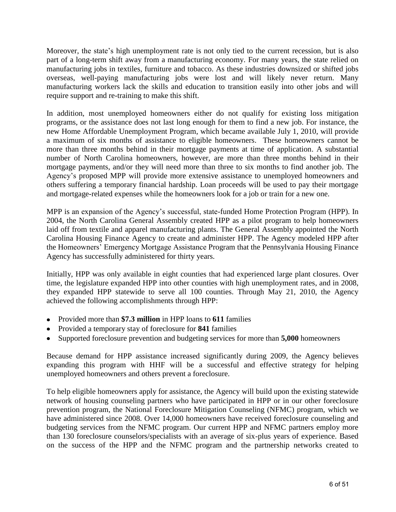Moreover, the state's high unemployment rate is not only tied to the current recession, but is also part of a long-term shift away from a manufacturing economy. For many years, the state relied on manufacturing jobs in textiles, furniture and tobacco. As these industries downsized or shifted jobs overseas, well-paying manufacturing jobs were lost and will likely never return. Many manufacturing workers lack the skills and education to transition easily into other jobs and will require support and re-training to make this shift.

In addition, most unemployed homeowners either do not qualify for existing loss mitigation programs, or the assistance does not last long enough for them to find a new job. For instance, the new Home Affordable Unemployment Program, which became available July 1, 2010, will provide a maximum of six months of assistance to eligible homeowners. These homeowners cannot be more than three months behind in their mortgage payments at time of application. A substantial number of North Carolina homeowners, however, are more than three months behind in their mortgage payments, and/or they will need more than three to six months to find another job. The Agency's proposed MPP will provide more extensive assistance to unemployed homeowners and others suffering a temporary financial hardship. Loan proceeds will be used to pay their mortgage and mortgage-related expenses while the homeowners look for a job or train for a new one.

MPP is an expansion of the Agency's successful, state-funded Home Protection Program (HPP). In 2004, the North Carolina General Assembly created HPP as a pilot program to help homeowners laid off from textile and apparel manufacturing plants. The General Assembly appointed the North Carolina Housing Finance Agency to create and administer HPP. The Agency modeled HPP after the Homeowners' Emergency Mortgage Assistance Program that the Pennsylvania Housing Finance Agency has successfully administered for thirty years.

Initially, HPP was only available in eight counties that had experienced large plant closures. Over time, the legislature expanded HPP into other counties with high unemployment rates, and in 2008, they expanded HPP statewide to serve all 100 counties. Through May 21, 2010, the Agency achieved the following accomplishments through HPP:

- Provided more than **\$7.3 million** in HPP loans to **611** families
- Provided a temporary stay of foreclosure for **841** families
- Supported foreclosure prevention and budgeting services for more than **5,000** homeowners  $\bullet$

Because demand for HPP assistance increased significantly during 2009, the Agency believes expanding this program with HHF will be a successful and effective strategy for helping unemployed homeowners and others prevent a foreclosure.

To help eligible homeowners apply for assistance, the Agency will build upon the existing statewide network of housing counseling partners who have participated in HPP or in our other foreclosure prevention program, the National Foreclosure Mitigation Counseling (NFMC) program, which we have administered since 2008. Over 14,000 homeowners have received foreclosure counseling and budgeting services from the NFMC program. Our current HPP and NFMC partners employ more than 130 foreclosure counselors/specialists with an average of six-plus years of experience. Based on the success of the HPP and the NFMC program and the partnership networks created to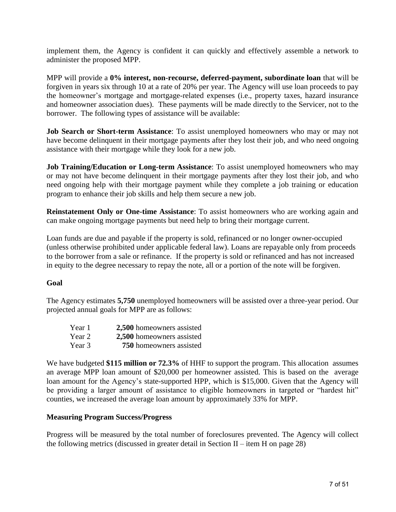implement them, the Agency is confident it can quickly and effectively assemble a network to administer the proposed MPP.

MPP will provide a **0% interest, non-recourse, deferred-payment, subordinate loan** that will be forgiven in years six through 10 at a rate of 20% per year. The Agency will use loan proceeds to pay the homeowner's mortgage and mortgage-related expenses (i.e., property taxes, hazard insurance and homeowner association dues). These payments will be made directly to the Servicer, not to the borrower. The following types of assistance will be available:

**Job Search or Short-term Assistance**: To assist unemployed homeowners who may or may not have become delinquent in their mortgage payments after they lost their job, and who need ongoing assistance with their mortgage while they look for a new job.

**Job Training/Education or Long-term Assistance**: To assist unemployed homeowners who may or may not have become delinquent in their mortgage payments after they lost their job, and who need ongoing help with their mortgage payment while they complete a job training or education program to enhance their job skills and help them secure a new job.

**Reinstatement Only or One-time Assistance**: To assist homeowners who are working again and can make ongoing mortgage payments but need help to bring their mortgage current.

Loan funds are due and payable if the property is sold, refinanced or no longer owner-occupied (unless otherwise prohibited under applicable federal law). Loans are repayable only from proceeds to the borrower from a sale or refinance. If the property is sold or refinanced and has not increased in equity to the degree necessary to repay the note, all or a portion of the note will be forgiven.

#### **Goal**

The Agency estimates **5,750** unemployed homeowners will be assisted over a three-year period. Our projected annual goals for MPP are as follows:

| Year 1 | 2,500 homeowners assisted |
|--------|---------------------------|
| Year 2 | 2,500 homeowners assisted |
| Year 3 | 750 homeowners assisted   |

We have budgeted **\$115 million or 72.3%** of HHF to support the program. This allocation assumes an average MPP loan amount of \$20,000 per homeowner assisted. This is based on the average loan amount for the Agency's state-supported HPP, which is \$15,000. Given that the Agency will be providing a larger amount of assistance to eligible homeowners in targeted or "hardest hit" counties*,* we increased the average loan amount by approximately 33% for MPP.

#### **Measuring Program Success/Progress**

Progress will be measured by the total number of foreclosures prevented. The Agency will collect the following metrics (discussed in greater detail in Section II – item H on page 28)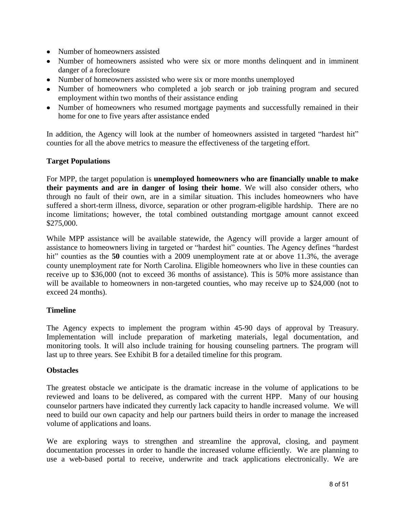- Number of homeowners assisted
- Number of homeowners assisted who were six or more months delinquent and in imminent danger of a foreclosure
- Number of homeowners assisted who were six or more months unemployed
- Number of homeowners who completed a job search or job training program and secured employment within two months of their assistance ending
- Number of homeowners who resumed mortgage payments and successfully remained in their home for one to five years after assistance ended

In addition, the Agency will look at the number of homeowners assisted in targeted "hardest hit" counties for all the above metrics to measure the effectiveness of the targeting effort.

#### **Target Populations**

For MPP, the target population is **unemployed homeowners who are financially unable to make their payments and are in danger of losing their home**. We will also consider others, who through no fault of their own, are in a similar situation. This includes homeowners who have suffered a short-term illness, divorce, separation or other program-eligible hardship. There are no income limitations; however, the total combined outstanding mortgage amount cannot exceed \$275,000.

While MPP assistance will be available statewide, the Agency will provide a larger amount of assistance to homeowners living in targeted or "hardest hit" counties. The Agency defines "hardest hit" counties as the **50** counties with a 2009 unemployment rate at or above 11.3%, the average county unemployment rate for North Carolina. Eligible homeowners who live in these counties can receive up to \$36,000 (not to exceed 36 months of assistance). This is 50% more assistance than will be available to homeowners in non-targeted counties, who may receive up to \$24,000 (not to exceed 24 months).

#### **Timeline**

The Agency expects to implement the program within 45-90 days of approval by Treasury. Implementation will include preparation of marketing materials, legal documentation, and monitoring tools. It will also include training for housing counseling partners. The program will last up to three years. See Exhibit B for a detailed timeline for this program.

#### **Obstacles**

The greatest obstacle we anticipate is the dramatic increase in the volume of applications to be reviewed and loans to be delivered, as compared with the current HPP. Many of our housing counselor partners have indicated they currently lack capacity to handle increased volume. We will need to build our own capacity and help our partners build theirs in order to manage the increased volume of applications and loans.

We are exploring ways to strengthen and streamline the approval, closing, and payment documentation processes in order to handle the increased volume efficiently. We are planning to use a web-based portal to receive, underwrite and track applications electronically. We are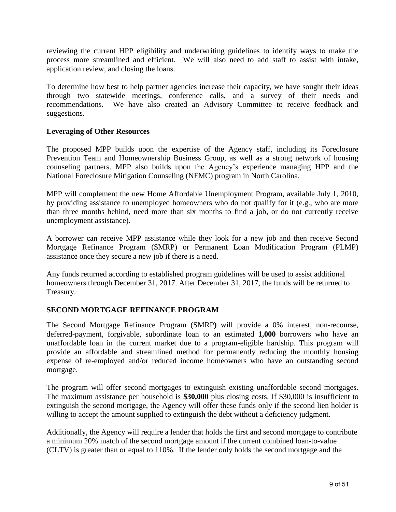reviewing the current HPP eligibility and underwriting guidelines to identify ways to make the process more streamlined and efficient. We will also need to add staff to assist with intake, application review, and closing the loans.

To determine how best to help partner agencies increase their capacity, we have sought their ideas through two statewide meetings, conference calls, and a survey of their needs and recommendations. We have also created an Advisory Committee to receive feedback and suggestions.

#### **Leveraging of Other Resources**

The proposed MPP builds upon the expertise of the Agency staff, including its Foreclosure Prevention Team and Homeownership Business Group, as well as a strong network of housing counseling partners. MPP also builds upon the Agency's experience managing HPP and the National Foreclosure Mitigation Counseling (NFMC) program in North Carolina.

MPP will complement the new Home Affordable Unemployment Program, available July 1, 2010, by providing assistance to unemployed homeowners who do not qualify for it (e.g., who are more than three months behind, need more than six months to find a job, or do not currently receive unemployment assistance).

A borrower can receive MPP assistance while they look for a new job and then receive Second Mortgage Refinance Program (SMRP) or Permanent Loan Modification Program (PLMP) assistance once they secure a new job if there is a need.

Any funds returned according to established program guidelines will be used to assist additional homeowners through December 31, 2017. After December 31, 2017, the funds will be returned to Treasury.

#### **SECOND MORTGAGE REFINANCE PROGRAM**

The Second Mortgage Refinance Program (SMRP**)** will provide a 0% interest, non-recourse, deferred-payment, forgivable, subordinate loan to an estimated **1,000** borrowers who have an unaffordable loan in the current market due to a program-eligible hardship. This program will provide an affordable and streamlined method for permanently reducing the monthly housing expense of re-employed and/or reduced income homeowners who have an outstanding second mortgage.

The program will offer second mortgages to extinguish existing unaffordable second mortgages. The maximum assistance per household is **\$30,000** plus closing costs. If \$30,000 is insufficient to extinguish the second mortgage, the Agency will offer these funds only if the second lien holder is willing to accept the amount supplied to extinguish the debt without a deficiency judgment.

Additionally, the Agency will require a lender that holds the first and second mortgage to contribute a minimum 20% match of the second mortgage amount if the current combined loan-to-value (CLTV) is greater than or equal to 110%. If the lender only holds the second mortgage and the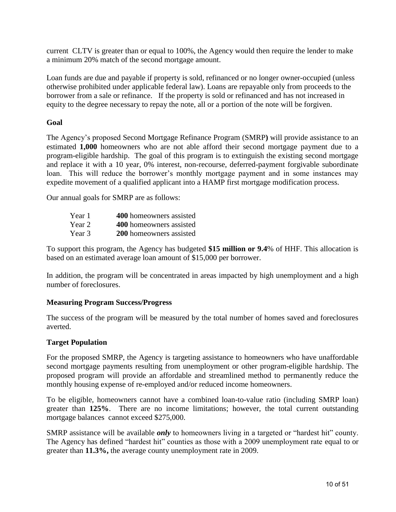current CLTV is greater than or equal to 100%, the Agency would then require the lender to make a minimum 20% match of the second mortgage amount.

Loan funds are due and payable if property is sold, refinanced or no longer owner-occupied (unless otherwise prohibited under applicable federal law). Loans are repayable only from proceeds to the borrower from a sale or refinance. If the property is sold or refinanced and has not increased in equity to the degree necessary to repay the note, all or a portion of the note will be forgiven.

#### **Goal**

The Agency's proposed Second Mortgage Refinance Program (SMRP**)** will provide assistance to an estimated **1,000** homeowners who are not able afford their second mortgage payment due to a program-eligible hardship. The goal of this program is to extinguish the existing second mortgage and replace it with a 10 year, 0% interest, non-recourse, deferred-payment forgivable subordinate loan. This will reduce the borrower's monthly mortgage payment and in some instances may expedite movement of a qualified applicant into a HAMP first mortgage modification process.

Our annual goals for SMRP are as follows:

| Year 1 | 400 homeowners assisted |
|--------|-------------------------|
| Year 2 | 400 homeowners assisted |
| Year 3 | 200 homeowners assisted |

To support this program, the Agency has budgeted **\$15 million or 9.4**% of HHF. This allocation is based on an estimated average loan amount of \$15,000 per borrower.

In addition, the program will be concentrated in areas impacted by high unemployment and a high number of foreclosures.

#### **Measuring Program Success/Progress**

The success of the program will be measured by the total number of homes saved and foreclosures averted.

#### **Target Population**

For the proposed SMRP, the Agency is targeting assistance to homeowners who have unaffordable second mortgage payments resulting from unemployment or other program-eligible hardship. The proposed program will provide an affordable and streamlined method to permanently reduce the monthly housing expense of re-employed and/or reduced income homeowners.

To be eligible, homeowners cannot have a combined loan-to-value ratio (including SMRP loan) greater than **125%**. There are no income limitations; however, the total current outstanding mortgage balances cannot exceed \$275,000.

SMRP assistance will be available *only* to homeowners living in a targeted or "hardest hit" county. The Agency has defined "hardest hit" counties as those with a 2009 unemployment rate equal to or greater than **11.3%,** the average county unemployment rate in 2009.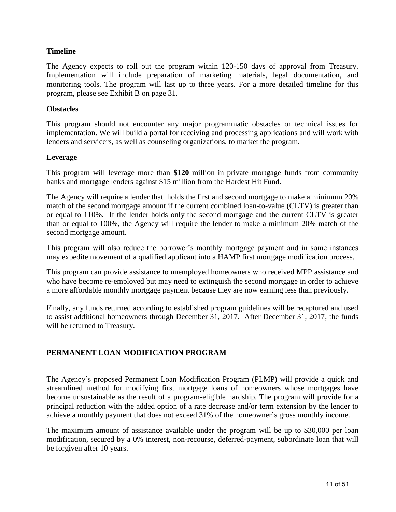#### **Timeline**

The Agency expects to roll out the program within 120-150 days of approval from Treasury. Implementation will include preparation of marketing materials, legal documentation, and monitoring tools. The program will last up to three years. For a more detailed timeline for this program, please see Exhibit B on page 31.

#### **Obstacles**

This program should not encounter any major programmatic obstacles or technical issues for implementation. We will build a portal for receiving and processing applications and will work with lenders and servicers, as well as counseling organizations, to market the program.

#### **Leverage**

This program will leverage more than **\$120** million in private mortgage funds from community banks and mortgage lenders against \$15 million from the Hardest Hit Fund.

The Agency will require a lender that holds the first and second mortgage to make a minimum 20% match of the second mortgage amount if the current combined loan-to-value (CLTV) is greater than or equal to 110%. If the lender holds only the second mortgage and the current CLTV is greater than or equal to 100%, the Agency will require the lender to make a minimum 20% match of the second mortgage amount.

This program will also reduce the borrower's monthly mortgage payment and in some instances may expedite movement of a qualified applicant into a HAMP first mortgage modification process.

This program can provide assistance to unemployed homeowners who received MPP assistance and who have become re-employed but may need to extinguish the second mortgage in order to achieve a more affordable monthly mortgage payment because they are now earning less than previously.

Finally, any funds returned according to established program guidelines will be recaptured and used to assist additional homeowners through December 31, 2017. After December 31, 2017, the funds will be returned to Treasury.

#### **PERMANENT LOAN MODIFICATION PROGRAM**

The Agency's proposed Permanent Loan Modification Program (PLMP**)** will provide a quick and streamlined method for modifying first mortgage loans of homeowners whose mortgages have become unsustainable as the result of a program-eligible hardship. The program will provide for a principal reduction with the added option of a rate decrease and/or term extension by the lender to achieve a monthly payment that does not exceed 31% of the homeowner's gross monthly income.

The maximum amount of assistance available under the program will be up to \$30,000 per loan modification, secured by a 0% interest, non-recourse, deferred-payment, subordinate loan that will be forgiven after 10 years.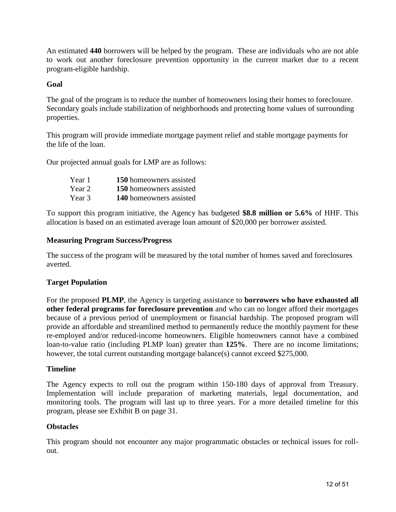An estimated **440** borrowers will be helped by the program. These are individuals who are not able to work out another foreclosure prevention opportunity in the current market due to a recent program-eligible hardship.

#### **Goal**

The goal of the program is to reduce the number of homeowners losing their homes to foreclosure. Secondary goals include stabilization of neighborhoods and protecting home values of surrounding properties.

This program will provide immediate mortgage payment relief and stable mortgage payments for the life of the loan.

Our projected annual goals for LMP are as follows:

| Year 1 | 150 homeowners assisted |
|--------|-------------------------|
| Year 2 | 150 homeowners assisted |
| Year 3 | 140 homeowners assisted |

To support this program initiative, the Agency has budgeted **\$8.8 million or 5.6%** of HHF. This allocation is based on an estimated average loan amount of \$20,000 per borrower assisted.

#### **Measuring Program Success/Progress**

The success of the program will be measured by the total number of homes saved and foreclosures averted.

#### **Target Population**

For the proposed **PLMP**, the Agency is targeting assistance to **borrowers who have exhausted all other federal programs for foreclosure prevention** and who can no longer afford their mortgages because of a previous period of unemployment or financial hardship. The proposed program will provide an affordable and streamlined method to permanently reduce the monthly payment for these re-employed and/or reduced-income homeowners. Eligible homeowners cannot have a combined loan-to-value ratio (including PLMP loan) greater than **125%**. There are no income limitations; however, the total current outstanding mortgage balance(s) cannot exceed \$275,000.

#### **Timeline**

The Agency expects to roll out the program within 150-180 days of approval from Treasury. Implementation will include preparation of marketing materials, legal documentation, and monitoring tools. The program will last up to three years. For a more detailed timeline for this program, please see Exhibit B on page 31.

#### **Obstacles**

This program should not encounter any major programmatic obstacles or technical issues for rollout.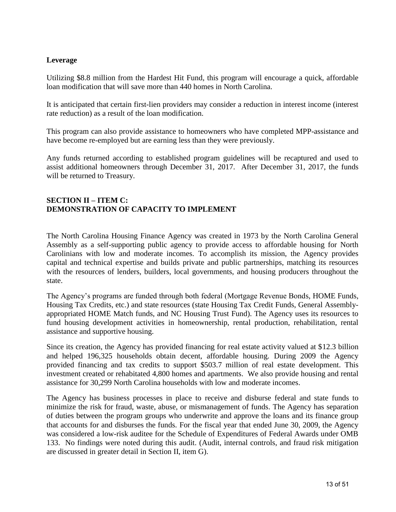#### **Leverage**

Utilizing \$8.8 million from the Hardest Hit Fund, this program will encourage a quick, affordable loan modification that will save more than 440 homes in North Carolina.

It is anticipated that certain first-lien providers may consider a reduction in interest income (interest rate reduction) as a result of the loan modification.

This program can also provide assistance to homeowners who have completed MPP-assistance and have become re-employed but are earning less than they were previously.

Any funds returned according to established program guidelines will be recaptured and used to assist additional homeowners through December 31, 2017. After December 31, 2017, the funds will be returned to Treasury.

#### **SECTION II – ITEM C: DEMONSTRATION OF CAPACITY TO IMPLEMENT**

The North Carolina Housing Finance Agency was created in 1973 by the North Carolina General Assembly as a self-supporting public agency to provide access to affordable housing for North Carolinians with low and moderate incomes. To accomplish its mission, the Agency provides capital and technical expertise and builds private and public partnerships, matching its resources with the resources of lenders, builders, local governments, and housing producers throughout the state.

The Agency's programs are funded through both federal (Mortgage Revenue Bonds, HOME Funds, Housing Tax Credits, etc.) and state resources (state Housing Tax Credit Funds, General Assemblyappropriated HOME Match funds, and NC Housing Trust Fund). The Agency uses its resources to fund housing development activities in homeownership, rental production, rehabilitation, rental assistance and supportive housing.

Since its creation, the Agency has provided financing for real estate activity valued at \$12.3 billion and helped 196,325 households obtain decent, affordable housing. During 2009 the Agency provided financing and tax credits to support \$503.7 million of real estate development. This investment created or rehabitated 4,800 homes and apartments. We also provide housing and rental assistance for 30,299 North Carolina households with low and moderate incomes.

The Agency has business processes in place to receive and disburse federal and state funds to minimize the risk for fraud, waste, abuse, or mismanagement of funds. The Agency has separation of duties between the program groups who underwrite and approve the loans and its finance group that accounts for and disburses the funds. For the fiscal year that ended June 30, 2009, the Agency was considered a low-risk auditee for the Schedule of Expenditures of Federal Awards under OMB 133. No findings were noted during this audit. (Audit, internal controls, and fraud risk mitigation are discussed in greater detail in Section II, item G).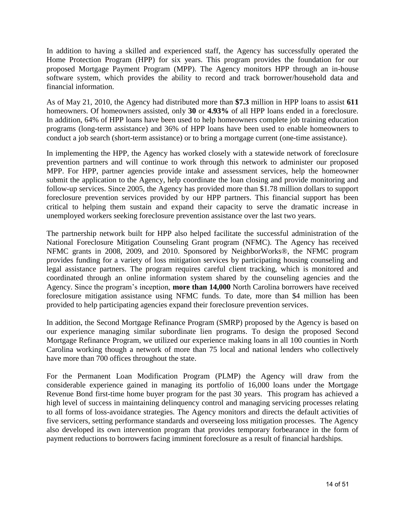In addition to having a skilled and experienced staff, the Agency has successfully operated the Home Protection Program (HPP) for six years. This program provides the foundation for our proposed Mortgage Payment Program (MPP). The Agency monitors HPP through an in-house software system, which provides the ability to record and track borrower/household data and financial information.

As of May 21, 2010, the Agency had distributed more than **\$7.3** million in HPP loans to assist **611** homeowners. Of homeowners assisted, only **30** or **4.93%** of all HPP loans ended in a foreclosure. In addition, 64% of HPP loans have been used to help homeowners complete job training education programs (long-term assistance) and 36% of HPP loans have been used to enable homeowners to conduct a job search (short-term assistance) or to bring a mortgage current (one-time assistance).

In implementing the HPP, the Agency has worked closely with a statewide network of foreclosure prevention partners and will continue to work through this network to administer our proposed MPP. For HPP, partner agencies provide intake and assessment services, help the homeowner submit the application to the Agency, help coordinate the loan closing and provide monitoring and follow-up services. Since 2005, the Agency has provided more than \$1.78 million dollars to support foreclosure prevention services provided by our HPP partners. This financial support has been critical to helping them sustain and expand their capacity to serve the dramatic increase in unemployed workers seeking foreclosure prevention assistance over the last two years.

The partnership network built for HPP also helped facilitate the successful administration of the National Foreclosure Mitigation Counseling Grant program (NFMC). The Agency has received NFMC grants in 2008, 2009, and 2010. Sponsored by NeighborWorks®, the NFMC program provides funding for a variety of loss mitigation services by participating housing counseling and legal assistance partners. The program requires careful client tracking, which is monitored and coordinated through an online information system shared by the counseling agencies and the Agency. Since the program's inception, **more than 14,000** North Carolina borrowers have received foreclosure mitigation assistance using NFMC funds. To date, more than \$4 million has been provided to help participating agencies expand their foreclosure prevention services.

In addition, the Second Mortgage Refinance Program (SMRP) proposed by the Agency is based on our experience managing similar subordinate lien programs. To design the proposed Second Mortgage Refinance Program, we utilized our experience making loans in all 100 counties in North Carolina working though a network of more than 75 local and national lenders who collectively have more than 700 offices throughout the state.

For the Permanent Loan Modification Program (PLMP) the Agency will draw from the considerable experience gained in managing its portfolio of 16,000 loans under the Mortgage Revenue Bond first-time home buyer program for the past 30 years. This program has achieved a high level of success in maintaining delinquency control and managing servicing processes relating to all forms of loss-avoidance strategies. The Agency monitors and directs the default activities of five servicers, setting performance standards and overseeing loss mitigation processes. The Agency also developed its own intervention program that provides temporary forbearance in the form of payment reductions to borrowers facing imminent foreclosure as a result of financial hardships.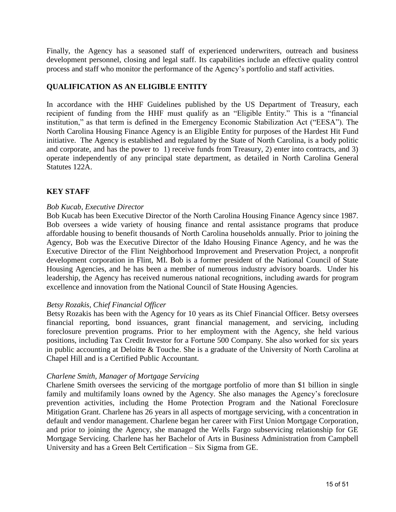Finally, the Agency has a seasoned staff of experienced underwriters, outreach and business development personnel, closing and legal staff. Its capabilities include an effective quality control process and staff who monitor the performance of the Agency's portfolio and staff activities.

#### **QUALIFICATION AS AN ELIGIBLE ENTITY**

In accordance with the HHF Guidelines published by the US Department of Treasury, each recipient of funding from the HHF must qualify as an "Eligible Entity." This is a "financial institution," as that term is defined in the Emergency Economic Stabilization Act ("EESA"). The North Carolina Housing Finance Agency is an Eligible Entity for purposes of the Hardest Hit Fund initiative. The Agency is established and regulated by the State of North Carolina, is a body politic and corporate, and has the power to 1) receive funds from Treasury, 2) enter into contracts, and 3) operate independently of any principal state department, as detailed in North Carolina General Statutes 122A.

#### **KEY STAFF**

#### *Bob Kucab, Executive Director*

Bob Kucab has been Executive Director of the North Carolina Housing Finance Agency since 1987. Bob oversees a wide variety of housing finance and rental assistance programs that produce affordable housing to benefit thousands of North Carolina households annually. Prior to joining the Agency, Bob was the Executive Director of the Idaho Housing Finance Agency, and he was the Executive Director of the Flint Neighborhood Improvement and Preservation Project, a nonprofit development corporation in Flint, MI. Bob is a former president of the National Council of State Housing Agencies, and he has been a member of numerous industry advisory boards. Under his leadership, the Agency has received numerous national recognitions, including awards for program excellence and innovation from the National Council of State Housing Agencies.

#### *Betsy Rozakis, Chief Financial Officer*

Betsy Rozakis has been with the Agency for 10 years as its Chief Financial Officer. Betsy oversees financial reporting, bond issuances, grant financial management, and servicing, including foreclosure prevention programs. Prior to her employment with the Agency, she held various positions, including Tax Credit Investor for a Fortune 500 Company. She also worked for six years in public accounting at Deloitte & Touche. She is a graduate of the University of North Carolina at Chapel Hill and is a Certified Public Accountant.

#### *Charlene Smith, Manager of Mortgage Servicing*

Charlene Smith oversees the servicing of the mortgage portfolio of more than \$1 billion in single family and multifamily loans owned by the Agency. She also manages the Agency's foreclosure prevention activities, including the Home Protection Program and the National Foreclosure Mitigation Grant. Charlene has 26 years in all aspects of mortgage servicing, with a concentration in default and vendor management. Charlene began her career with First Union Mortgage Corporation, and prior to joining the Agency, she managed the Wells Fargo subservicing relationship for GE Mortgage Servicing. Charlene has her Bachelor of Arts in Business Administration from Campbell University and has a Green Belt Certification – Six Sigma from GE.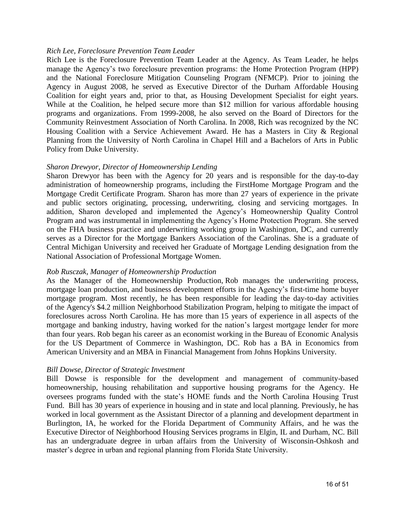#### *Rich Lee, Foreclosure Prevention Team Leader*

Rich Lee is the Foreclosure Prevention Team Leader at the Agency. As Team Leader, he helps manage the Agency's two foreclosure prevention programs: the Home Protection Program (HPP) and the National Foreclosure Mitigation Counseling Program (NFMCP). Prior to joining the Agency in August 2008, he served as Executive Director of the Durham Affordable Housing Coalition for eight years and, prior to that, as Housing Development Specialist for eight years. While at the Coalition, he helped secure more than \$12 million for various affordable housing programs and organizations. From 1999-2008, he also served on the Board of Directors for the Community Reinvestment Association of North Carolina. In 2008, Rich was recognized by the NC Housing Coalition with a Service Achievement Award. He has a Masters in City & Regional Planning from the University of North Carolina in Chapel Hill and a Bachelors of Arts in Public Policy from Duke University.

#### *Sharon Drewyor, Director of Homeownership Lending*

Sharon Drewyor has been with the Agency for 20 years and is responsible for the day-to-day administration of homeownership programs, including the FirstHome Mortgage Program and the Mortgage Credit Certificate Program. Sharon has more than 27 years of experience in the private and public sectors originating, processing, underwriting, closing and servicing mortgages. In addition, Sharon developed and implemented the Agency's Homeownership Quality Control Program and was instrumental in implementing the Agency's Home Protection Program. She served on the FHA business practice and underwriting working group in Washington, DC, and currently serves as a Director for the Mortgage Bankers Association of the Carolinas. She is a graduate of Central Michigan University and received her Graduate of Mortgage Lending designation from the National Association of Professional Mortgage Women.

#### *Rob Rusczak, Manager of Homeownership Production*

As the Manager of the Homeownership Production, Rob manages the underwriting process, mortgage loan production, and business development efforts in the Agency's first-time home buyer mortgage program. Most recently, he has been responsible for leading the day-to-day activities of the Agency's \$4.2 million Neighborhood Stabilization Program, helping to mitigate the impact of foreclosures across North Carolina. He has more than 15 years of experience in all aspects of the mortgage and banking industry, having worked for the nation's largest mortgage lender for more than four years. Rob began his career as an economist working in the Bureau of Economic Analysis for the US Department of Commerce in Washington, DC. Rob has a BA in Economics from American University and an MBA in Financial Management from Johns Hopkins University.

#### *Bill Dowse, Director of Strategic Investment*

Bill Dowse is responsible for the development and management of community-based homeownership, housing rehabilitation and supportive housing programs for the Agency. He oversees programs funded with the state's HOME funds and the North Carolina Housing Trust Fund. Bill has 30 years of experience in housing and in state and local planning. Previously, he has worked in local government as the Assistant Director of a planning and development department in Burlington, IA, he worked for the Florida Department of Community Affairs, and he was the Executive Director of Neighborhood Housing Services programs in Elgin, IL and Durham, NC. Bill has an undergraduate degree in urban affairs from the University of Wisconsin-Oshkosh and master's degree in urban and regional planning from Florida State University.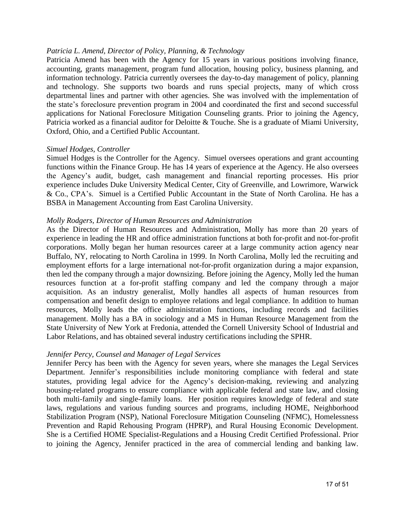#### *Patricia L. Amend, Director of Policy, Planning, & Technology*

Patricia Amend has been with the Agency for 15 years in various positions involving finance, accounting, grants management, program fund allocation, housing policy, business planning, and information technology. Patricia currently oversees the day-to-day management of policy, planning and technology. She supports two boards and runs special projects, many of which cross departmental lines and partner with other agencies. She was involved with the implementation of the state's foreclosure prevention program in 2004 and coordinated the first and second successful applications for National Foreclosure Mitigation Counseling grants. Prior to joining the Agency, Patricia worked as a financial auditor for Deloitte & Touche. She is a graduate of Miami University, Oxford, Ohio, and a Certified Public Accountant.

#### *Simuel Hodges, Controller*

Simuel Hodges is the Controller for the Agency. Simuel oversees operations and grant accounting functions within the Finance Group. He has 14 years of experience at the Agency. He also oversees the Agency's audit, budget, cash management and financial reporting processes. His prior experience includes Duke University Medical Center, City of Greenville, and Lowrimore, Warwick & Co., CPA's. Simuel is a Certified Public Accountant in the State of North Carolina. He has a BSBA in Management Accounting from East Carolina University.

#### *Molly Rodgers, Director of Human Resources and Administration*

As the Director of Human Resources and Administration, Molly has more than 20 years of experience in leading the HR and office administration functions at both for-profit and not-for-profit corporations. Molly began her human resources career at a large community action agency near Buffalo, NY, relocating to North Carolina in 1999. In North Carolina, Molly led the recruiting and employment efforts for a large international not-for-profit organization during a major expansion, then led the company through a major downsizing. Before joining the Agency, Molly led the human resources function at a for-profit staffing company and led the company through a major acquisition. As an industry generalist, Molly handles all aspects of human resources from compensation and benefit design to employee relations and legal compliance. In addition to human resources, Molly leads the office administration functions, including records and facilities management. Molly has a BA in sociology and a MS in Human Resource Management from the State University of New York at Fredonia, attended the Cornell University School of Industrial and Labor Relations, and has obtained several industry certifications including the SPHR.

#### *Jennifer Percy, Counsel and Manager of Legal Services*

Jennifer Percy has been with the Agency for seven years, where she manages the Legal Services Department. Jennifer's responsibilities include monitoring compliance with federal and state statutes, providing legal advice for the Agency's decision-making, reviewing and analyzing housing-related programs to ensure compliance with applicable federal and state law, and closing both multi-family and single-family loans. Her position requires knowledge of federal and state laws, regulations and various funding sources and programs, including HOME, Neighborhood Stabilization Program (NSP), National Foreclosure Mitigation Counseling (NFMC), Homelessness Prevention and Rapid Rehousing Program (HPRP), and Rural Housing Economic Development. She is a Certified HOME Specialist-Regulations and a Housing Credit Certified Professional. Prior to joining the Agency, Jennifer practiced in the area of commercial lending and banking law.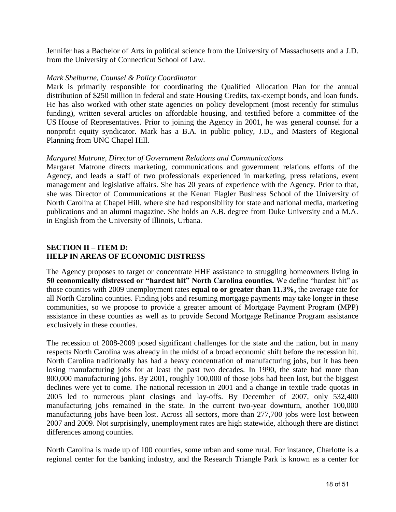Jennifer has a Bachelor of Arts in political science from the University of Massachusetts and a J.D. from the University of Connecticut School of Law.

#### *Mark Shelburne, Counsel & Policy Coordinator*

Mark is primarily responsible for coordinating the Qualified Allocation Plan for the annual distribution of \$250 million in federal and state Housing Credits, tax-exempt bonds, and loan funds. He has also worked with other state agencies on policy development (most recently for stimulus funding), written several articles on affordable housing, and testified before a committee of the US House of Representatives. Prior to joining the Agency in 2001, he was general counsel for a nonprofit equity syndicator. Mark has a B.A. in public policy, J.D., and Masters of Regional Planning from UNC Chapel Hill.

#### *Margaret Matrone, Director of Government Relations and Communications*

Margaret Matrone directs marketing, communications and government relations efforts of the Agency, and leads a staff of two professionals experienced in marketing, press relations, event management and legislative affairs. She has 20 years of experience with the Agency. Prior to that, she was Director of Communications at the Kenan Flagler Business School of the University of North Carolina at Chapel Hill, where she had responsibility for state and national media, marketing publications and an alumni magazine. She holds an A.B. degree from Duke University and a M.A. in English from the University of Illinois, Urbana.

#### **SECTION II – ITEM D: HELP IN AREAS OF ECONOMIC DISTRESS**

The Agency proposes to target or concentrate HHF assistance to struggling homeowners living in **50 economically distressed or "hardest hit" North Carolina counties.** We define "hardest hit" as those counties with 2009 unemployment rates **equal to or greater than 11.3%,** the average rate for all North Carolina counties. Finding jobs and resuming mortgage payments may take longer in these communities, so we propose to provide a greater amount of Mortgage Payment Program (MPP) assistance in these counties as well as to provide Second Mortgage Refinance Program assistance exclusively in these counties.

The recession of 2008-2009 posed significant challenges for the state and the nation, but in many respects North Carolina was already in the midst of a broad economic shift before the recession hit. North Carolina traditionally has had a heavy concentration of manufacturing jobs, but it has been losing manufacturing jobs for at least the past two decades. In 1990, the state had more than 800,000 manufacturing jobs. By 2001, roughly 100,000 of those jobs had been lost, but the biggest declines were yet to come. The national recession in 2001 and a change in textile trade quotas in 2005 led to numerous plant closings and lay-offs. By December of 2007, only 532,400 manufacturing jobs remained in the state. In the current two-year downturn, another 100,000 manufacturing jobs have been lost. Across all sectors, more than 277,700 jobs were lost between 2007 and 2009. Not surprisingly, unemployment rates are high statewide, although there are distinct differences among counties.

North Carolina is made up of 100 counties, some urban and some rural. For instance, Charlotte is a regional center for the banking industry, and the Research Triangle Park is known as a center for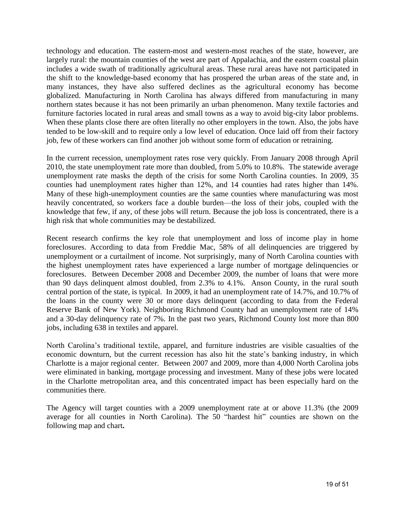technology and education. The eastern-most and western-most reaches of the state, however, are largely rural: the mountain counties of the west are part of Appalachia, and the eastern coastal plain includes a wide swath of traditionally agricultural areas. These rural areas have not participated in the shift to the knowledge-based economy that has prospered the urban areas of the state and, in many instances, they have also suffered declines as the agricultural economy has become globalized. Manufacturing in North Carolina has always differed from manufacturing in many northern states because it has not been primarily an urban phenomenon. Many textile factories and furniture factories located in rural areas and small towns as a way to avoid big-city labor problems. When these plants close there are often literally no other employers in the town. Also, the jobs have tended to be low-skill and to require only a low level of education. Once laid off from their factory job, few of these workers can find another job without some form of education or retraining.

In the current recession, unemployment rates rose very quickly. From January 2008 through April 2010, the state unemployment rate more than doubled, from 5.0% to 10.8%. The statewide average unemployment rate masks the depth of the crisis for some North Carolina counties. In 2009, 35 counties had unemployment rates higher than 12%, and 14 counties had rates higher than 14%. Many of these high-unemployment counties are the same counties where manufacturing was most heavily concentrated, so workers face a double burden—the loss of their jobs, coupled with the knowledge that few, if any, of these jobs will return. Because the job loss is concentrated, there is a high risk that whole communities may be destabilized.

Recent research confirms the key role that unemployment and loss of income play in home foreclosures. According to data from Freddie Mac, 58% of all delinquencies are triggered by unemployment or a curtailment of income. Not surprisingly, many of North Carolina counties with the highest unemployment rates have experienced a large number of mortgage delinquencies or foreclosures. Between December 2008 and December 2009, the number of loans that were more than 90 days delinquent almost doubled, from 2.3% to 4.1%. Anson County, in the rural south central portion of the state, is typical. In 2009, it had an unemployment rate of 14.7%, and 10.7% of the loans in the county were 30 or more days delinquent (according to data from the Federal Reserve Bank of New York). Neighboring Richmond County had an unemployment rate of 14% and a 30-day delinquency rate of 7%. In the past two years, Richmond County lost more than 800 jobs, including 638 in textiles and apparel.

North Carolina's traditional textile, apparel, and furniture industries are visible casualties of the economic downturn, but the current recession has also hit the state's banking industry, in which Charlotte is a major regional center. Between 2007 and 2009, more than 4,000 North Carolina jobs were eliminated in banking, mortgage processing and investment. Many of these jobs were located in the Charlotte metropolitan area, and this concentrated impact has been especially hard on the communities there.

The Agency will target counties with a 2009 unemployment rate at or above 11.3% (the 2009 average for all counties in North Carolina). The 50 "hardest hit" counties are shown on the following map and chart**.**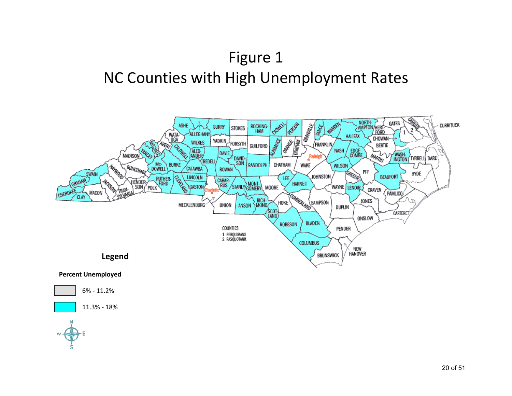# Figure 1 NC Counties with High Unemployment Rates

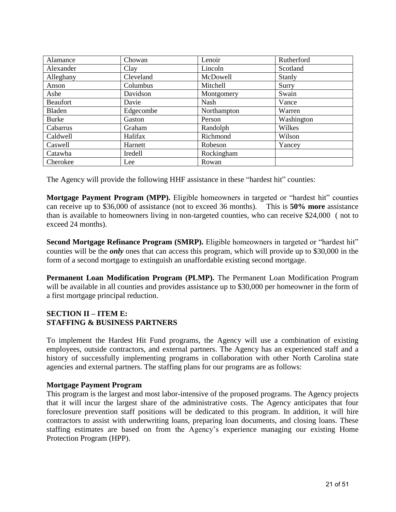| Alamance        | Chowan         | Lenoir      | Rutherford |
|-----------------|----------------|-------------|------------|
| Alexander       | Clay           | Lincoln     | Scotland   |
| Alleghany       | Cleveland      | McDowell    | Stanly     |
| Anson           | Columbus       | Mitchell    | Surry      |
| Ashe            | Davidson       | Montgomery  | Swain      |
| <b>Beaufort</b> | Davie          | Nash        | Vance      |
| Bladen          | Edgecombe      | Northampton | Warren     |
| <b>Burke</b>    | Gaston         | Person      | Washington |
| Cabarrus        | Graham         | Randolph    | Wilkes     |
| Caldwell        | Halifax        | Richmond    | Wilson     |
| <b>Caswell</b>  | Harnett        | Robeson     | Yancey     |
| Catawba         | <b>Iredell</b> | Rockingham  |            |
| Cherokee        | Lee            | Rowan       |            |

The Agency will provide the following HHF assistance in these "hardest hit" counties:

**Mortgage Payment Program (MPP).** Eligible homeowners in targeted or "hardest hit" counties can receive up to \$36,000 of assistance (not to exceed 36 months). This is **50% more** assistance than is available to homeowners living in non-targeted counties, who can receive \$24,000 ( not to exceed 24 months).

**Second Mortgage Refinance Program (SMRP).** Eligible homeowners in targeted or "hardest hit" counties will be the *only* ones that can access this program, which will provide up to \$30,000 in the form of a second mortgage to extinguish an unaffordable existing second mortgage.

**Permanent Loan Modification Program (PLMP).** The Permanent Loan Modification Program will be available in all counties and provides assistance up to \$30,000 per homeowner in the form of a first mortgage principal reduction.

#### **SECTION II – ITEM E: STAFFING & BUSINESS PARTNERS**

To implement the Hardest Hit Fund programs, the Agency will use a combination of existing employees, outside contractors, and external partners. The Agency has an experienced staff and a history of successfully implementing programs in collaboration with other North Carolina state agencies and external partners. The staffing plans for our programs are as follows:

#### **Mortgage Payment Program**

This program is the largest and most labor-intensive of the proposed programs. The Agency projects that it will incur the largest share of the administrative costs. The Agency anticipates that four foreclosure prevention staff positions will be dedicated to this program. In addition, it will hire contractors to assist with underwriting loans, preparing loan documents, and closing loans. These staffing estimates are based on from the Agency's experience managing our existing Home Protection Program (HPP).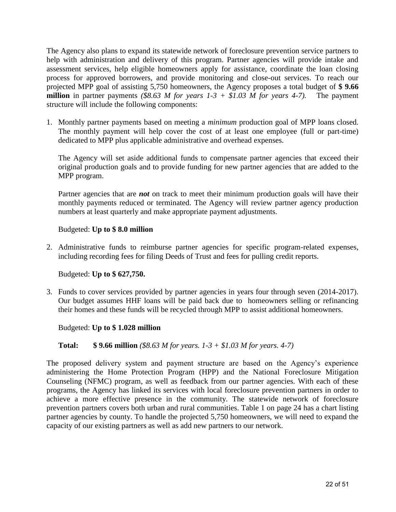The Agency also plans to expand its statewide network of foreclosure prevention service partners to help with administration and delivery of this program. Partner agencies will provide intake and assessment services, help eligible homeowners apply for assistance, coordinate the loan closing process for approved borrowers, and provide monitoring and close-out services. To reach our projected MPP goal of assisting 5,750 homeowners, the Agency proposes a total budget of **\$ 9.66 million** in partner payments *(\$8.63 M for years 1-3 + \$1.03 M for years 4-7)*. The payment structure will include the following components:

1. Monthly partner payments based on meeting a *minimum* production goal of MPP loans closed. The monthly payment will help cover the cost of at least one employee (full or part-time) dedicated to MPP plus applicable administrative and overhead expenses.

The Agency will set aside additional funds to compensate partner agencies that exceed their original production goals and to provide funding for new partner agencies that are added to the MPP program.

Partner agencies that are *not* on track to meet their minimum production goals will have their monthly payments reduced or terminated. The Agency will review partner agency production numbers at least quarterly and make appropriate payment adjustments.

#### Budgeted: **Up to \$ 8.0 million**

2. Administrative funds to reimburse partner agencies for specific program-related expenses, including recording fees for filing Deeds of Trust and fees for pulling credit reports.

#### Budgeted: **Up to \$ 627,750.**

3. Funds to cover services provided by partner agencies in years four through seven (2014-2017). Our budget assumes HHF loans will be paid back due to homeowners selling or refinancing their homes and these funds will be recycled through MPP to assist additional homeowners.

#### Budgeted: **Up to \$ 1.028 million**

#### **Total: \$ 9.66 million** *(\$8.63 M for years. 1-3 + \$1.03 M for years. 4-7)*

The proposed delivery system and payment structure are based on the Agency's experience administering the Home Protection Program (HPP) and the National Foreclosure Mitigation Counseling (NFMC) program, as well as feedback from our partner agencies. With each of these programs, the Agency has linked its services with local foreclosure prevention partners in order to achieve a more effective presence in the community. The statewide network of foreclosure prevention partners covers both urban and rural communities. Table 1 on page 24 has a chart listing partner agencies by county. To handle the projected 5,750 homeowners, we will need to expand the capacity of our existing partners as well as add new partners to our network.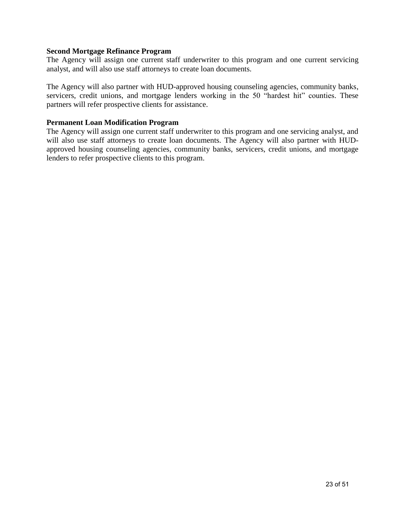#### **Second Mortgage Refinance Program**

The Agency will assign one current staff underwriter to this program and one current servicing analyst, and will also use staff attorneys to create loan documents.

The Agency will also partner with HUD-approved housing counseling agencies, community banks, servicers, credit unions, and mortgage lenders working in the 50 "hardest hit" counties. These partners will refer prospective clients for assistance.

#### **Permanent Loan Modification Program**

The Agency will assign one current staff underwriter to this program and one servicing analyst, and will also use staff attorneys to create loan documents. The Agency will also partner with HUDapproved housing counseling agencies, community banks, servicers, credit unions, and mortgage lenders to refer prospective clients to this program.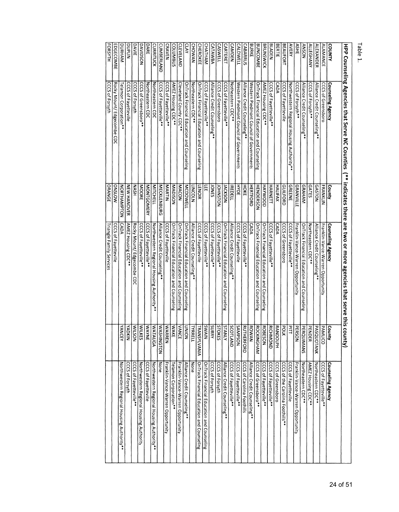Table 1.

|                        |                                            |                    | HPP Counseling Agencies that serve NC Coolinties (*** indicates shere are towo or more agencies that serve this | county)                         |                                            |
|------------------------|--------------------------------------------|--------------------|-----------------------------------------------------------------------------------------------------------------|---------------------------------|--------------------------------------------|
|                        |                                            |                    |                                                                                                                 |                                 |                                            |
| <b>COUNTY</b>          | <b>Counseling Agency</b>                   | County             | Counseling Agency                                                                                               | <b>County</b>                   | <b>Counseling Agency</b>                   |
| <b>ALAMANATE</b>       | CCCS of Greensboro                         | <b>FRANKLIN</b>    | Franklin-Vance-Warren Opportunity                                                                               | <b>PAMLICO</b>                  | CCCS of Fayetteville**                     |
| <b>ALEXANDER</b>       | Alliance Credit Counseling**               | <b>GASTON</b>      | Alliance Credit Counseling*                                                                                     | <b>PASQUOTANK</b>               | Northeastern CDC**                         |
| <b>ALLEGHANY</b>       | CCCS of Forsyth**                          | <b>GATES</b>       | Northeastern CDC <sup>*</sup> *                                                                                 | <b>PENDER</b>                   | AMEZ Housing CDC**                         |
| <b>NOSNY</b>           | Alliance Credit Counseling**               | GRAHAM             | OnTrack Financial Education and Counseling                                                                      | <b>PERQUIMANS</b>               | Northeastern CDC**                         |
| <b>ASHE</b>            | CCCS of Forsyth**                          | <b>GRANVILLE</b>   | Franklin-Vance-Warren Opportunity                                                                               | <b>PERSON</b>                   | Franklin-Vance-Warren Opportunity          |
| <b>AVERY</b>           | Northwestern Regional Housing Authority**  | <b>GREENE</b>      | CCCS of Fayetteville**                                                                                          | 혹<br>$\exists$                  | <b>CCCS of Fayetteville</b>                |
| <b>BEAUFORT</b>        | CCCS of Fayetteville                       | GUILFORD           | CCCS of Greensboro                                                                                              | <b>POLK</b>                     | CCCS of the Carolina Foothills**           |
| <b>BERTIE</b>          | <b>CADA</b>                                | <b>HALIFAX</b>     | <b>CADA</b>                                                                                                     | <b>RANDOLPH</b>                 | CCCS of Greensboro                         |
| <b>BLADEN</b>          | CCCS of Fayetteville**                     | HARNETT            | CCCS of Fayetteville**                                                                                          | RICHMOND                        | CCCS of Fayetteville**                     |
| <b>BRUNSWICK</b>       | AMEZ Housing CDC**                         | HAYNOOD            | OnTrack Financial Education and Counseling                                                                      | <b>ROBESON</b>                  | CCCS of Fayetteville**                     |
| <b>BUNCOMBE</b>        | OnTrack Financial Education and Counseling | <b>HENDERSON</b>   | OnTrack Financial Education and Counseling                                                                      | <b>ROCKINGHAM</b>               | CCCS of Greensboro**                       |
| BURKE                  | Western Piedmont Council of Governments    | <b>HERTFORD</b>    | <b>CADA</b>                                                                                                     | <b>ROWAN</b>                    | Alliance Credit Counseling**               |
| <b>CABARRUS</b>        | Alliance Credit Counseling**               | HOKE               | CCCS of Fayetteville**                                                                                          | RUTHERFORD                      | CCCS of Carolina Foothills                 |
| <b>CALDWELL</b>        | Western Piedmont Council of Governments    | HYDE               | CCCS of Fayetteville                                                                                            | <b>NOSdNVS</b>                  | CCCS of Fayetteville**                     |
| <b>CAMDEN</b>          | Notheastern CDC**                          | <b>REDELL</b>      | Alliance Credit Counseling**                                                                                    | SCOTLAND                        | CCCS of Fayetteville**                     |
| <b><i>CARTERET</i></b> | CCCS of Fayetteville**                     | <b>NCKSON</b>      | OnTrack Financial Education and Counseling                                                                      | <b>STANLY</b>                   | Alliance Credit Counseling**               |
| <b>CASWELL</b>         | CCCS of Greensboro                         | NO1SNHO            | CCCS of Fayetteville**                                                                                          | $\overline{15}$<br><b>TOKES</b> | <b>CCCS of Forsyth</b>                     |
| <b>CATAWBA</b>         | Alliance Credit Counseling**               | <b>DNES</b>        | CCCS of Fayetteville**                                                                                          | Š<br>JRRY                       | CCCS of Forsyth                            |
| CHATHAM                | CCCS of Fayetteville**                     | 쁘                  | CCCS of Fayetteville**                                                                                          | NIVMS                           | OnTrack Financial Education and Counseling |
| <b>CHEROKEE</b>        | OnTrack Financial Education and Counseling | <b>ENOIR</b>       | <b>CCCS of Fayetteville</b>                                                                                     | <b>TRANSYLVANIA</b>             | OnTrack Financial Education and Counseling |
| <b>CHOWAN</b>          | Northeastern CDC**                         | <b>TINCOLN</b>     | Alliance Credit Counseling**                                                                                    | TYRRELL                         | None                                       |
| CLAY                   | OnTrack Financial Education and Counseling | <b>MCDOWELL</b>    | OnTrack Financial Education and Counseling                                                                      | NOINN                           | Alliance Credit Counseling**               |
| <b>CLEVELAND</b>       | Cleveland County CDC**                     | <b>MACON</b>       | OnTrack Financial Education and Counseling                                                                      | <b>VANCE</b>                    | Franklin-Vance-Warren Opportunity          |
| corumbus               | <b>AMEZ Housing CDC**</b>                  | MOSIQVM            | OnTrack Financial Education and Counseling                                                                      | WAKE                            | Telamon Corporation**                      |
| <b>CRAVEN</b>          | CCCS of Fayetteville**                     | MARTIN             | <b>CCCS of Fayetteville</b>                                                                                     | <b>WARREN</b>                   | Franklin-Vance-Warren Opportunity          |
| <b>CUMBERLAND</b>      | CCCS of Fayetteville**                     | <b>MECKLENBURG</b> | Alliance Credit Counseling**                                                                                    | ଽ<br><b>ASHINGTON</b>           | None                                       |
| <b>CURRITUCK</b>       | Northeastern CDC                           | <b>MITCHEL</b>     | Northwestern Regional Housing Authority**                                                                       | <b>WATAUGA</b>                  | Northwestern Regional Housing Authority**  |
| <b>DARE</b>            | Northeastern CDC                           | <b>MONTGOMERY</b>  | CCCS of Fayetteville***                                                                                         | <b>WAYNE</b>                    | <b>CCCS of Fayetteville</b>                |
| DAVIDSON               | CCCS of Greensboro**                       | <b>MOORE</b>       | CCCS of Fayetteville**                                                                                          | ξ<br><b>IILKES</b>              | Northwestern Regional Housing Authority    |
| <b>DAVIE</b>           | CCCS of Forsyth                            | <b>NASH</b>        | Rocky Mount/ Edgecombe CDC                                                                                      | ξ<br>NOSTI,                     | CCCS of Fayetteville**                     |
| DUPLIN                 | <b>CCCS of Fayetteville</b>                | <b>NEW HANOVER</b> | <b>AMEZ Housing CDC**</b>                                                                                       | <b>NIXOAY</b>                   | CCCS of Forsyth                            |
| DURHAM                 | elamon Corporation*                        | NOTHAMPTON         | <b>CADA</b>                                                                                                     | <b>YANCEY</b>                   | Northwestern Regional Housing Authority**  |
| EDGECOMBE              | Rocky Mount/ Edgecombe CDC                 | <b>ONSLOW</b>      | CCCS of Fayetteville                                                                                            |                                 |                                            |
| FORSYTH                | CCCS of Forsyth                            | ORANGE             | riangle Family Services                                                                                         |                                 |                                            |
|                        |                                            |                    |                                                                                                                 |                                 |                                            |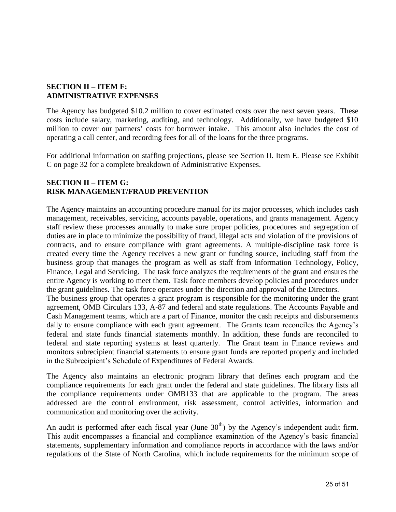#### **SECTION II – ITEM F: ADMINISTRATIVE EXPENSES**

The Agency has budgeted \$10.2 million to cover estimated costs over the next seven years. These costs include salary, marketing, auditing, and technology. Additionally, we have budgeted \$10 million to cover our partners' costs for borrower intake. This amount also includes the cost of operating a call center, and recording fees for all of the loans for the three programs.

For additional information on staffing projections, please see Section II. Item E. Please see Exhibit C on page 32 for a complete breakdown of Administrative Expenses.

#### **SECTION II – ITEM G: RISK MANAGEMENT/FRAUD PREVENTION**

The Agency maintains an accounting procedure manual for its major processes, which includes cash management, receivables, servicing, accounts payable, operations, and grants management. Agency staff review these processes annually to make sure proper policies, procedures and segregation of duties are in place to minimize the possibility of fraud, illegal acts and violation of the provisions of contracts, and to ensure compliance with grant agreements. A multiple-discipline task force is created every time the Agency receives a new grant or funding source, including staff from the business group that manages the program as well as staff from Information Technology, Policy, Finance, Legal and Servicing. The task force analyzes the requirements of the grant and ensures the entire Agency is working to meet them. Task force members develop policies and procedures under the grant guidelines. The task force operates under the direction and approval of the Directors.

The business group that operates a grant program is responsible for the monitoring under the grant agreement, OMB Circulars 133, A-87 and federal and state regulations. The Accounts Payable and Cash Management teams, which are a part of Finance, monitor the cash receipts and disbursements daily to ensure compliance with each grant agreement. The Grants team reconciles the Agency's federal and state funds financial statements monthly. In addition, these funds are reconciled to federal and state reporting systems at least quarterly. The Grant team in Finance reviews and monitors subrecipient financial statements to ensure grant funds are reported properly and included in the Subrecipient's Schedule of Expenditures of Federal Awards.

The Agency also maintains an electronic program library that defines each program and the compliance requirements for each grant under the federal and state guidelines. The library lists all the compliance requirements under OMB133 that are applicable to the program. The areas addressed are the control environment, risk assessment, control activities, information and communication and monitoring over the activity.

An audit is performed after each fiscal year (June  $30<sup>th</sup>$ ) by the Agency's independent audit firm. This audit encompasses a financial and compliance examination of the Agency's basic financial statements, supplementary information and compliance reports in accordance with the laws and/or regulations of the State of North Carolina, which include requirements for the minimum scope of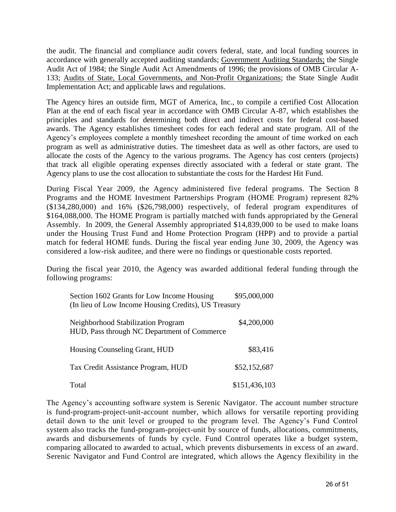the audit. The financial and compliance audit covers federal, state, and local funding sources in accordance with generally accepted auditing standards; Government Auditing Standards; the Single Audit Act of 1984; the Single Audit Act Amendments of 1996; the provisions of OMB Circular A-133; Audits of State, Local Governments, and Non-Profit Organizations; the State Single Audit Implementation Act; and applicable laws and regulations.

The Agency hires an outside firm, MGT of America, Inc., to compile a certified Cost Allocation Plan at the end of each fiscal year in accordance with OMB Circular A-87, which establishes the principles and standards for determining both direct and indirect costs for federal cost-based awards. The Agency establishes timesheet codes for each federal and state program. All of the Agency's employees complete a monthly timesheet recording the amount of time worked on each program as well as administrative duties. The timesheet data as well as other factors, are used to allocate the costs of the Agency to the various programs. The Agency has cost centers (projects) that track all eligible operating expenses directly associated with a federal or state grant. The Agency plans to use the cost allocation to substantiate the costs for the Hardest Hit Fund.

During Fiscal Year 2009, the Agency administered five federal programs. The Section 8 Programs and the HOME Investment Partnerships Program (HOME Program) represent 82% (\$134,280,000) and 16% (\$26,798,000) respectively, of federal program expenditures of \$164,088,000. The HOME Program is partially matched with funds appropriated by the General Assembly. In 2009, the General Assembly appropriated \$14,839,000 to be used to make loans under the Housing Trust Fund and Home Protection Program (HPP) and to provide a partial match for federal HOME funds. During the fiscal year ending June 30, 2009, the Agency was considered a low-risk auditee, and there were no findings or questionable costs reported.

During the fiscal year 2010, the Agency was awarded additional federal funding through the following programs:

| Section 1602 Grants for Low Income Housing<br>(In lieu of Low Income Housing Credits), US Treasury | \$95,000,000  |
|----------------------------------------------------------------------------------------------------|---------------|
| Neighborhood Stabilization Program<br>HUD, Pass through NC Department of Commerce                  | \$4,200,000   |
| Housing Counseling Grant, HUD                                                                      | \$83,416      |
| Tax Credit Assistance Program, HUD                                                                 | \$52,152,687  |
| Total                                                                                              | \$151,436,103 |

The Agency's accounting software system is Serenic Navigator. The account number structure is fund-program-project-unit-account number, which allows for versatile reporting providing detail down to the unit level or grouped to the program level. The Agency's Fund Control system also tracks the fund-program-project-unit by source of funds, allocations, commitments, awards and disbursements of funds by cycle. Fund Control operates like a budget system, comparing allocated to awarded to actual, which prevents disbursements in excess of an award. Serenic Navigator and Fund Control are integrated, which allows the Agency flexibility in the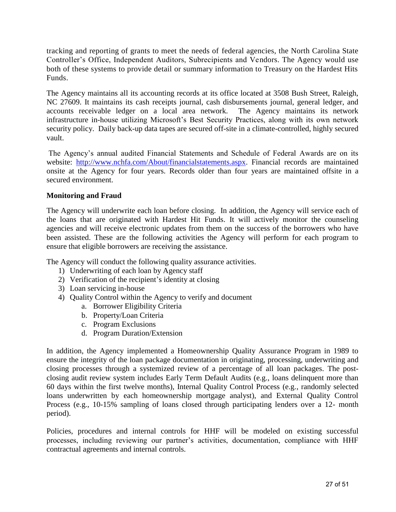tracking and reporting of grants to meet the needs of federal agencies, the North Carolina State Controller's Office, Independent Auditors, Subrecipients and Vendors. The Agency would use both of these systems to provide detail or summary information to Treasury on the Hardest Hits Funds.

The Agency maintains all its accounting records at its office located at 3508 Bush Street, Raleigh, NC 27609. It maintains its cash receipts journal, cash disbursements journal, general ledger, and accounts receivable ledger on a local area network. The Agency maintains its network infrastructure in-house utilizing Microsoft's Best Security Practices, along with its own network security policy. Daily back-up data tapes are secured off-site in a climate-controlled, highly secured vault.

The Agency's annual audited Financial Statements and Schedule of Federal Awards are on its website: [http://www.nchfa.com/About/financialstatements.aspx.](http://www.nchfa.com/About/financialstatements.aspx) Financial records are maintained onsite at the Agency for four years. Records older than four years are maintained offsite in a secured environment.

#### **Monitoring and Fraud**

The Agency will underwrite each loan before closing. In addition, the Agency will service each of the loans that are originated with Hardest Hit Funds. It will actively monitor the counseling agencies and will receive electronic updates from them on the success of the borrowers who have been assisted. These are the following activities the Agency will perform for each program to ensure that eligible borrowers are receiving the assistance.

The Agency will conduct the following quality assurance activities.

- 1) Underwriting of each loan by Agency staff
- 2) Verification of the recipient's identity at closing
- 3) Loan servicing in-house
- 4) Quality Control within the Agency to verify and document
	- a. Borrower Eligibility Criteria
	- b. Property/Loan Criteria
	- c. Program Exclusions
	- d. Program Duration/Extension

In addition, the Agency implemented a Homeownership Quality Assurance Program in 1989 to ensure the integrity of the loan package documentation in originating, processing, underwriting and closing processes through a systemized review of a percentage of all loan packages. The postclosing audit review system includes Early Term Default Audits (e.g., loans delinquent more than 60 days within the first twelve months), Internal Quality Control Process (e.g., randomly selected loans underwritten by each homeownership mortgage analyst), and External Quality Control Process (e.g., 10-15% sampling of loans closed through participating lenders over a 12- month period).

Policies, procedures and internal controls for HHF will be modeled on existing successful processes, including reviewing our partner's activities, documentation, compliance with HHF contractual agreements and internal controls.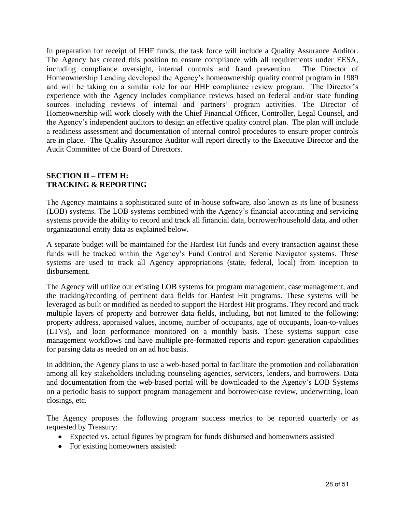In preparation for receipt of HHF funds, the task force will include a Quality Assurance Auditor. The Agency has created this position to ensure compliance with all requirements under EESA, including compliance oversight, internal controls and fraud prevention. The Director of Homeownership Lending developed the Agency's homeownership quality control program in 1989 and will be taking on a similar role for our HHF compliance review program. The Director's experience with the Agency includes compliance reviews based on federal and/or state funding sources including reviews of internal and partners' program activities. The Director of Homeownership will work closely with the Chief Financial Officer, Controller, Legal Counsel, and the Agency's independent auditors to design an effective quality control plan. The plan will include a readiness assessment and documentation of internal control procedures to ensure proper controls are in place. The Quality Assurance Auditor will report directly to the Executive Director and the Audit Committee of the Board of Directors.

#### **SECTION II – ITEM H: TRACKING & REPORTING**

The Agency maintains a sophisticated suite of in-house software, also known as its line of business (LOB) systems. The LOB systems combined with the Agency's financial accounting and servicing systems provide the ability to record and track all financial data, borrower/household data, and other organizational entity data as explained below.

A separate budget will be maintained for the Hardest Hit funds and every transaction against these funds will be tracked within the Agency's Fund Control and Serenic Navigator systems. These systems are used to track all Agency appropriations (state, federal, local) from inception to disbursement.

The Agency will utilize our existing LOB systems for program management, case management, and the tracking/recording of pertinent data fields for Hardest Hit programs. These systems will be leveraged as built or modified as needed to support the Hardest Hit programs. They record and track multiple layers of property and borrower data fields, including, but not limited to the following: property address, appraised values, income, number of occupants, age of occupants, loan-to-values (LTVs), and loan performance monitored on a monthly basis. These systems support case management workflows and have multiple pre-formatted reports and report generation capabilities for parsing data as needed on an ad hoc basis.

In addition, the Agency plans to use a web-based portal to facilitate the promotion and collaboration among all key stakeholders including counseling agencies, servicers, lenders, and borrowers. Data and documentation from the web-based portal will be downloaded to the Agency's LOB Systems on a periodic basis to support program management and borrower/case review, underwriting, loan closings, etc.

The Agency proposes the following program success metrics to be reported quarterly or as requested by Treasury:

- Expected vs. actual figures by program for funds disbursed and homeowners assisted
- For existing homeowners assisted: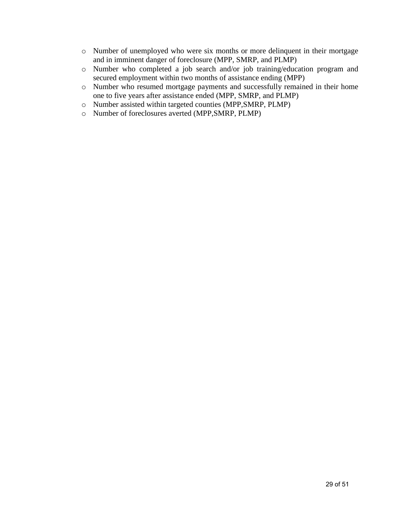- o Number of unemployed who were six months or more delinquent in their mortgage and in imminent danger of foreclosure (MPP, SMRP, and PLMP)
- o Number who completed a job search and/or job training/education program and secured employment within two months of assistance ending (MPP)
- o Number who resumed mortgage payments and successfully remained in their home one to five years after assistance ended (MPP, SMRP, and PLMP)
- o Number assisted within targeted counties (MPP,SMRP, PLMP)
- o Number of foreclosures averted (MPP,SMRP, PLMP)